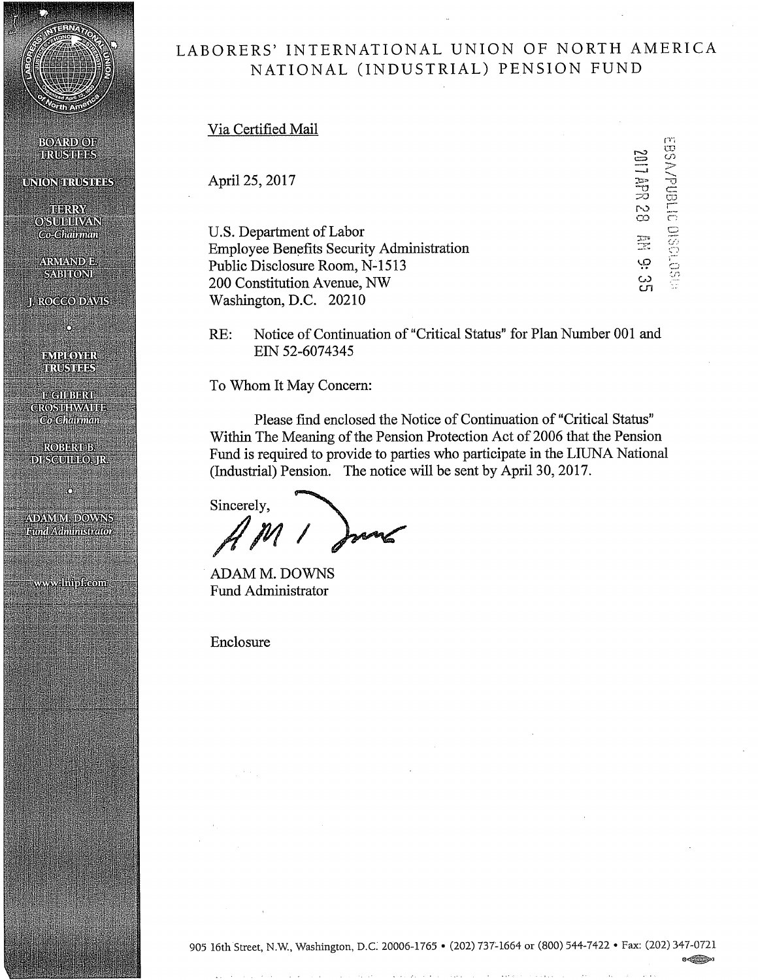

**BOARD OF TRUSTINES** 

**UNIONERUSERS** 

**TERRY**<br>OSULLIVAN Co-Chainman

**ARMANDE. SABITONIE** 

**I. ROCCO DAVIS** 

Ċ,

пунцомик <u> hNGHEES</u> <u>іт спинатаг</u> **CROSITHWAVITE Co-Chainman** 

ROBERTE. **DI SCUTTILO, JR.** 

Ő

ADAM M. DOWNS Eund/Administrator

wwwalinipkcom

# LABORERS' INTERNATIONAL UNION OF NORTH AMERICA NATIONAL (INDUSTRIAL) PENSION FUND

Via Certified Mail

April 25, 2017

U.S. Department of Labor Employee Benefits Security Administration Public Disclosure Room, N-1513 200 Constitution Avenue, NW Washington, D.C. 20210

 $\overline{\phantom{0}}$  $\equiv$ ገ።<br>20<br>20 ro<br>O 1.0  $\ddot{\circ}$ Cfl EBSVV-DIELLE  $\Xi \overline{z}$  $\circ$ 

RE: Notice of Continuation of "Critical Status" for Plan Number 001 and EIN 52-6074345

To Whom It May Concern:

Please find enclosed the Notice of Continuation of "Critical Status" Within The Meaning of the Pension Protection Act of 2006 that the Pension Fund is required to provide to parties who participate in the LIUNA National (Industrial) Pension. The notice will be sent by April 30, 2017.

Sincerely,

ADAM **M. DOWNS** Fund Administrator

Enclosure

®~'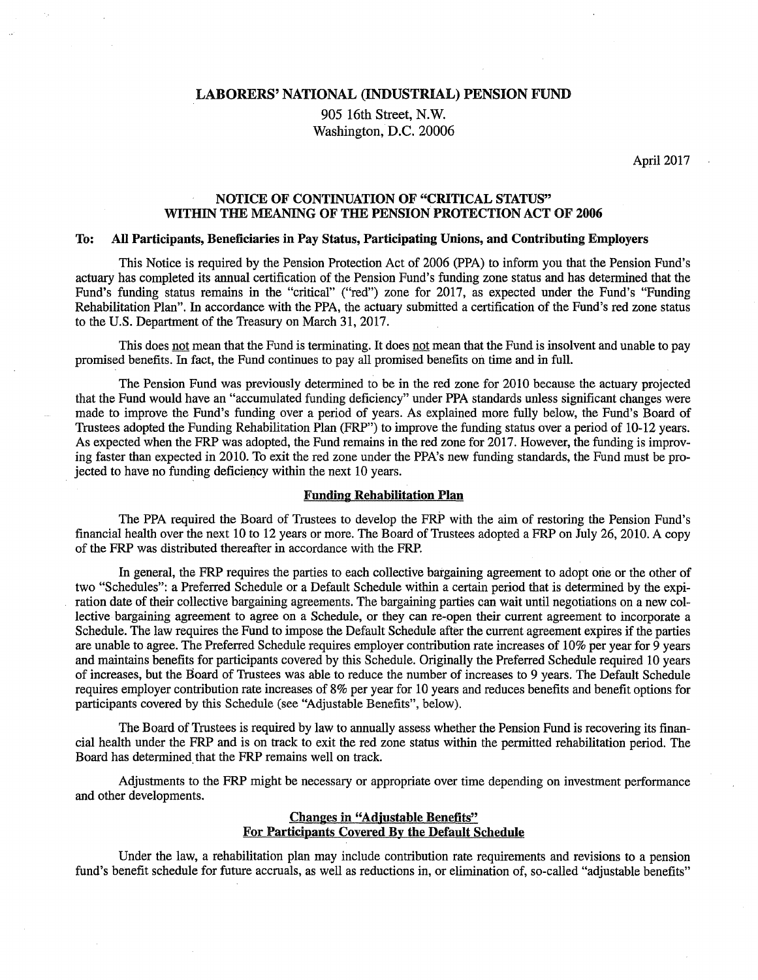LABORERS' NATIONAL (INDUSTRIAL) PENSION FUND

905 16th Street, N.W. Washington, D.C. 20006

April 2017

# NOTICE OF CONTINUATION OF "CRITICAL STATUS" WITHIN THE MEANING OF THE PENSION PROTECTION ACT OF 2006

## To: All Participants, Beneficiaries in Pay Status, Participating Unions, and Contributing Employers

This Notice is required by the Pension Protection Act of 2006 (PPA) to inform you that the Pension Fund's actuary has completed its annual certification of the Pension Fund's funding zone status and has determined that the Fund's funding status remains in the "critical" ("red") zone for 2017, as expected under the Fund's "Funding Rehabilitation Plan". In accordance with the PPA, the actuary submitted a certification of the Fund's red zone status to the U.S. Department of the Treasury on March 31, 2017.

This does not mean that the Fund is terminating. It does not mean that the Fund is insolvent and unable to pay promised benefits. In fact, the Fund continues to pay all promised benefits on time and in full.

The Pension Fund was previously determined to be in the red zone for 2010 because the actuary projected that the Fund would have an "accumulated funding deficiency" under PPA standards unless significant changes were made to improve the Fund's funding over a period of years. As explained more fully below, the Fund's Board of Trustees adopted the Funding Rehabilitation Plan (FRP") to improve the funding status over a period of 10-12 years. As expected when the FRP was adopted, the Fund remains in the red zone for 2017. However, the funding is improving faster than expected in 2010. To exit the red zone under the PPA's new funding standards, the Fund must be projected to have no funding deficiency within the next 10 years.

## Funding Rehabilitation Plan

The PPA required the Board of Trustees to develop the FRP with the aim of restoring the Pension Fund's financial health over the next 10 to 12 years or more. The Board of Trustees adopted a FRP on July 26, 2010. A copy of the FRP was distributed thereafter in accordance with the FRP.

In general, the FRP requires the parties to each collective bargaining agreement to adopt one or the other of two "Schedules": a Preferred Schedule or a Default Schedule within a certain period that is determined by the expiration date of their collective bargaining agreements. The bargaining parties can wait until negotiations on a new collective bargaining agreement to agree on a Schedule, or they can re-open their current agreement to incorporate a Schedule. The law requires the Fund to impose the Default Schedule after the current agreement expires if the parties are unable to agree. The Preferred Schedule requires employer contribution rate increases of 10% per year for 9 years and maintains benefits for participants covered by this Schedule. Originally the Preferred Schedule required 10 years of increases, but the Board of Trustees was able to reduce the number of increases to 9 years. The Default Schedule requires employer contribution rate increases of 8% per year for 10 years and reduces benefits and benefit options for participants covered by this Schedule (see "Adjustable Benefits", below).

The Board of Trustees is required by law to annually assess whether the Pension Fund is recovering its financial health under the FRP and is on track to exit the red zone status within the permitted rehabilitation period. The Board has determined that the FRP remains well on track.

Adjustments to the FRP might be necessary or appropriate over time depending on investment performance and other developments.

## Changes in "Adjustable Benefits" For Participants Covered By the Default Schedule

Under the law, a rehabilitation plan may include contribution rate requirements and revisions to a pension fund's benefit schedule for future accruals, as well as reductions in, or elimination of, so-called "adjustable benefits"